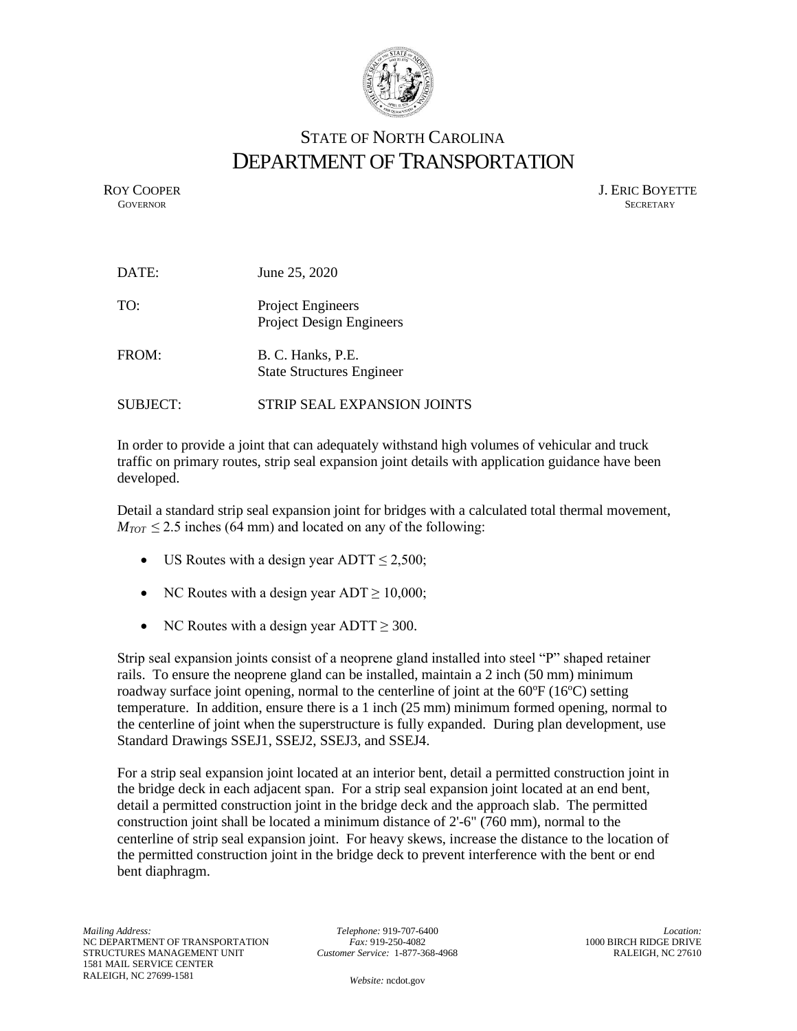

## STATE OF NORTH CAROLINA DEPARTMENT OF TRANSPORTATION

ROY COOPER J. ERIC BOYETTE GOVERNOR SECRETARY **GOVERNOR** SECRETARY

| DATE:    | June 25, 2020                                               |
|----------|-------------------------------------------------------------|
| TO:      | <b>Project Engineers</b><br><b>Project Design Engineers</b> |
| FROM:    | B. C. Hanks, P.E.<br><b>State Structures Engineer</b>       |
| SUBJECT: | STRIP SEAL EXPANSION JOINTS                                 |

In order to provide a joint that can adequately withstand high volumes of vehicular and truck traffic on primary routes, strip seal expansion joint details with application guidance have been developed.

Detail a standard strip seal expansion joint for bridges with a calculated total thermal movement,  $M_{TOT} \leq 2.5$  inches (64 mm) and located on any of the following:

- US Routes with a design year ADTT  $\leq 2,500$ ;
- NC Routes with a design year  $ADT \ge 10,000$ ;
- NC Routes with a design year  $ADTT \geq 300$ .

Strip seal expansion joints consist of a neoprene gland installed into steel "P" shaped retainer rails. To ensure the neoprene gland can be installed, maintain a 2 inch (50 mm) minimum roadway surface joint opening, normal to the centerline of joint at the  $60^{\circ}F(16^{\circ}C)$  setting temperature. In addition, ensure there is a 1 inch (25 mm) minimum formed opening, normal to the centerline of joint when the superstructure is fully expanded. During plan development, use Standard Drawings SSEJ1, SSEJ2, SSEJ3, and SSEJ4.

For a strip seal expansion joint located at an interior bent, detail a permitted construction joint in the bridge deck in each adjacent span. For a strip seal expansion joint located at an end bent, detail a permitted construction joint in the bridge deck and the approach slab. The permitted construction joint shall be located a minimum distance of 2'-6" (760 mm), normal to the centerline of strip seal expansion joint. For heavy skews, increase the distance to the location of the permitted construction joint in the bridge deck to prevent interference with the bent or end bent diaphragm.

*Telephone:* 919-707-6400 *Fax:* 919-250-4082 *Customer Service:* 1-877-368-4968